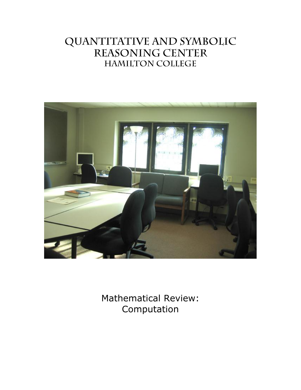# QUANTITATIVE AND SYMBOLIC REASONING CENTER **HAMILTON COLLEGE**



Mathematical Review: Computation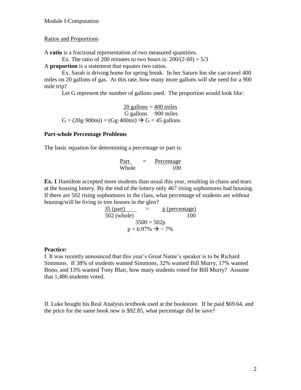#### Ratios and Proportions

A **ratio** is a fractional representation of two measured quantities.

Ex. The ratio of 200 minutes to two hours is:  $200/(2.60) = 5/3$ 

A **proportion** is a statement that equates two ratios.

Ex. Sarah is driving home for spring break. In her Saturn Ion she can travel 400 miles on 20 gallons of gas. At this rate, how many more gallons will she need for a 900 mile trip?

Let G represent the number of gallons used. The proportion would look like:

 $20$  gallons  $= 400$  miles G gallons 900 miles  $G = (20g.900mi) = (Gg.400mi) \rightarrow G = 45$  gallons

#### **Part-whole Percentage Problems**

The basic equation for determining a percentage or part is:

| Part  | Percentage |
|-------|------------|
| Whole | 100        |

**Ex. 1** Hamilton accepted more students than usual this year, resulting in chaos and tears at the housing lottery. By the end of the lottery only 467 rising sophomores had housing. If there are 502 rising sophomores in the class, what percentage of students are *without* housing/will be living in tree houses in the glen?

> $35$  (part)  $=$  p (percentage) 502 (whole) 100  $3500 = 502p$  $p = 6.97\% \rightarrow \sim 7\%$

#### **Practice:**

I. It was recently announced that this year's Great Name's speaker is to be Richard Simmons. If 38% of students wanted Simmons, 32% wanted Bill Murry, 17% wanted Bono, and 13% wanted Tony Blair, how many students voted for Bill Murry? Assume that 1,486 students voted.

II. Luke bought his Real Analysis textbook used at the bookstore. If he paid \$69.64, and the price for the same book new is \$92.85, what percentage did he save?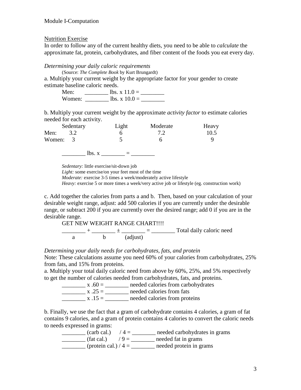# Nutrition Exercise

In order to follow any of the current healthy diets, you need to be able to *calculate* the approximate fat, protein, carbohydrates, and fiber content of the foods you eat every day.

## *Determining your daily caloric requirements*

(Source: *The Complete Book* by Kurt Brungardt) a. Multiply your current weight by the appropriate factor for your gender to create estimate baseline caloric needs.

Men: \_\_\_\_\_\_\_\_ lbs. x 11.0 = \_\_\_\_\_\_\_\_ Women:  $\frac{1}{\sqrt{1-\frac{1}{1-\frac{1}{1-\frac{1}{1-\frac{1}{1-\frac{1}{1-\frac{1}{1-\frac{1}{1-\frac{1}{1-\frac{1}{1-\frac{1}{1-\frac{1}{1-\frac{1}{1-\frac{1}{1-\frac{1}{1-\frac{1}{1-\frac{1}{1-\frac{1}{1-\frac{1}{1-\frac{1}{1-\frac{1}{1-\frac{1}{1-\frac{1}{1-\frac{1}{1-\frac{1}{1-\frac{1}{1-\frac{1}{1-\frac{1}{1-\frac{1}{1-\frac{1}{1-\frac{1}{1-\frac{1}{1-\frac{1}{1-\frac{1}{1-\frac{1}{1$ 

b. Multiply your current weight by the approximate *activity factor* to estimate calories needed for each activity.

|          | Sedentary | Light | Moderate | Heavy |
|----------|-----------|-------|----------|-------|
| Men:     | 3.2       |       | 7.2      | 10.5  |
| Women: 3 |           |       |          |       |

 $\frac{1}{\frac{1}{2}}$  lbs. x \_\_\_\_\_\_\_ = \_\_\_\_\_\_\_\_\_\_

*Sedentary:* little exercise/sit-down job

*Light:* some exercise/on your feet most of the time *Moderate:* exercise 3-5 times a week/moderately active lifestyle

*Heavy:* exercise 5 or more times a week/very active job or lifestyle (eg. construction work)

c. Add together the calories from parts a and b. Then, based on your calculation of your desirable weight range, adjust: add 500 calories if you are currently under the desirable range, or subtract 200 if you are currently over the desired range; add 0 if you are in the desirable range.

GET NEW WEIGHT RANGE CHART'!!!  
\n
$$
\frac{\text{GET NEW WEIGHT RANGE CHART'!!!}}{a} = \frac{\text{Total daily caloric need}}{(\text{adjust})}
$$

*Determining your daily needs for carbohydrates, fats, and protein*

Note: These calculations assume you need 60% of your calories from carbohydrates, 25% from fats, and 15% from proteins.

a. Multiply your total daily caloric need from above by 60%, 25%, and 5% respectively to get the number of calories needed from carbohydrates, fats, and proteins.

 $x .60 =$  \_\_\_\_\_\_\_\_\_ needed calories from carbohydrates

 $x .25 =$  \_\_\_\_\_\_\_\_\_\_ needed calories from fats

 $x .15 =$  needed calories from proteins

b. Finally, we use the fact that a gram of carbohydrate contains 4 calories, a gram of fat contains 9 calories, and a gram of protein contains 4 calories to convert the caloric needs to needs expressed in grams:

| (carb cal.)            | $/4 =$ | needed carbohydrates in grams |
|------------------------|--------|-------------------------------|
| (fat cal.)             | $/9 =$ | needed fat in grams           |
| (protein cal.) / $4 =$ |        | needed protein in grams       |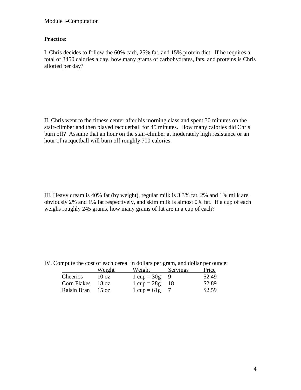# **Practice:**

I. Chris decides to follow the 60% carb, 25% fat, and 15% protein diet. If he requires a total of 3450 calories a day, how many grams of carbohydrates, fats, and proteins is Chris allotted per day?

II. Chris went to the fitness center after his morning class and spent 30 minutes on the stair-climber and then played racquetball for 45 minutes. How many calories did Chris burn off? Assume that an hour on the stair-climber at moderately high resistance or an hour of racquetball will burn off roughly 700 calories.

III. Heavy cream is 40% fat (by weight), regular milk is 3.3% fat, 2% and 1% milk are, obviously 2% and 1% fat respectively, and skim milk is almost 0% fat. If a cup of each weighs roughly 245 grams, how many grams of fat are in a cup of each?

|                    | Weight          | Weight                         | Servings | Price  |
|--------------------|-----------------|--------------------------------|----------|--------|
| Cheerios           | $10 \text{ oz}$ | $1 \text{ cup} = 30g - 9$      |          | \$2.49 |
| <b>Corn Flakes</b> | -18 oz          | $1 \text{ cup} = 28g$          | - 18     | \$2.89 |
| Raisin Bran        | $15 \text{ oz}$ | $1 \text{ cup} = 61 \text{ g}$ |          | \$2.59 |

IV. Compute the cost of each cereal in dollars per gram, and dollar per ounce: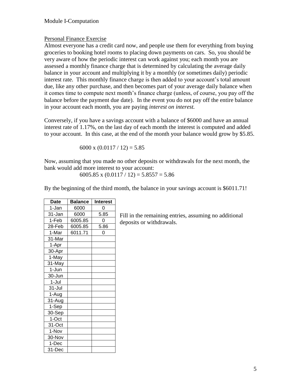## Module I-Computation

#### Personal Finance Exercise

Almost everyone has a credit card now, and people use them for everything from buying groceries to booking hotel rooms to placing down payments on cars. So, you should be very aware of how the periodic interest can work against you; each month you are assessed a monthly finance charge that is determined by calculating the average daily balance in your account and multiplying it by a monthly (or sometimes daily) periodic interest rate. This monthly finance charge is then added to your account's total amount due, like any other purchase, and then becomes part of your average daily balance when it comes time to compute next month's finance charge (unless, of course, you pay off the balance before the payment due date). In the event you do not pay off the entire balance in your account each month, you are paying *interest on interest.*

Conversely, if you have a savings account with a balance of \$6000 and have an annual interest rate of 1.17%, on the last day of each month the interest is computed and added to your account. In this case, at the end of the month your balance would grow by \$5.85.

$$
6000 \times (0.0117 / 12) = 5.85
$$

Now, assuming that you made no other deposits or withdrawals for the next month, the bank would add more interest to your account:

$$
6005.85 \times (0.0117 / 12) = 5.8557 = 5.86
$$

By the beginning of the third month, the balance in your savings account is \$6011.71!

| <b>Date</b> | <b>Balance</b> | <b>Interest</b> |
|-------------|----------------|-----------------|
| 1-Jan       | 6000           | 0               |
| 31-Jan      | 6000           | 5.85            |
| 1-Feb       | 6005.85        | 0               |
| 28-Feb      | 6005.85        | 5.86            |
| 1-Mar       | 6011.71        | 0               |
| 31-Mar      |                |                 |
| 1-Apr       |                |                 |
| 30-Apr      |                |                 |
| 1-May       |                |                 |
| 31-May      |                |                 |
| 1-Jun       |                |                 |
| 30-Jun      |                |                 |
| 1-Jul       |                |                 |
| 31-Jul      |                |                 |
| 1-Aug       |                |                 |
| 31-Aug      |                |                 |
| 1-Sep       |                |                 |
| 30-Sep      |                |                 |
| 1-Oct       |                |                 |
| 31-Oct      |                |                 |
| 1-Nov       |                |                 |
| 30-Nov      |                |                 |
| 1-Dec       |                |                 |
| 31-Dec      |                |                 |

Fill in the remaining entries, assuming no additional deposits or withdrawals.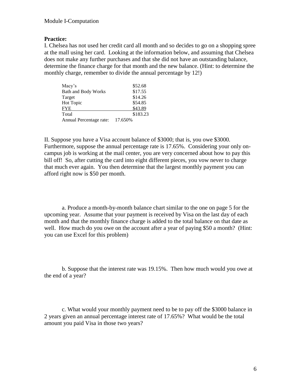# **Practice:**

I. Chelsea has not used her credit card all month and so decides to go on a shopping spree at the mall using her card. Looking at the information below, and assuming that Chelsea does not make any further purchases and that she did not have an outstanding balance, determine the finance charge for that month and the new balance. (Hint: to determine the monthly charge, remember to divide the annual percentage by 12!)

| Macy's                     | \$52.68  |
|----------------------------|----------|
| <b>Bath and Body Works</b> | \$17.55  |
| Target                     | \$14.26  |
| Hot Topic                  | \$54.85  |
| <b>FYE</b>                 | \$43.89  |
| Total                      | \$183.23 |
| Annual Percentage rate:    | 17.650%  |

II. Suppose you have a Visa account balance of \$3000; that is, you owe \$3000. Furthermore, suppose the annual percentage rate is 17.65%. Considering your only oncampus job is working at the mail center, you are very concerned about how to pay this bill off! So, after cutting the card into eight different pieces, you vow never to charge that much ever again. You then determine that the largest monthly payment you can afford right now is \$50 per month.

a. Produce a month-by-month balance chart similar to the one on page 5 for the upcoming year. Assume that your payment is received by Visa on the last day of each month and that the monthly finance charge is added to the total balance on that date as well. How much do you owe on the account after a year of paying \$50 a month? (Hint: you can use Excel for this problem)

b. Suppose that the interest rate was 19.15%. Then how much would you owe at the end of a year?

c. What would your monthly payment need to be to pay off the \$3000 balance in 2 years given an annual percentage interest rate of 17.65%? What would be the total amount you paid Visa in those two years?